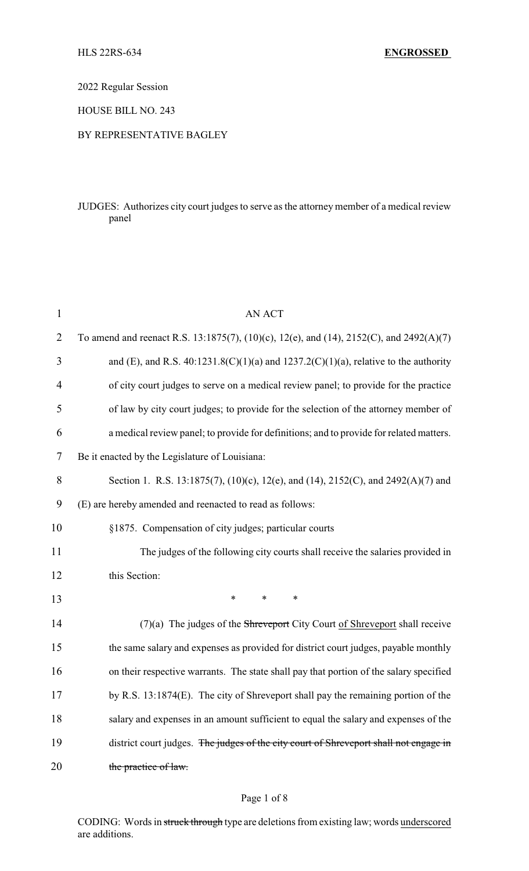2022 Regular Session

HOUSE BILL NO. 243

#### BY REPRESENTATIVE BAGLEY

### JUDGES: Authorizes city court judges to serve as the attorney member of a medical review panel

| $\mathbf{1}$   | AN ACT                                                                                  |  |  |
|----------------|-----------------------------------------------------------------------------------------|--|--|
| $\overline{2}$ | To amend and reenact R.S. 13:1875(7), (10)(c), 12(e), and (14), 2152(C), and 2492(A)(7) |  |  |
| 3              | and (E), and R.S. 40:1231.8(C)(1)(a) and 1237.2(C)(1)(a), relative to the authority     |  |  |
| $\overline{4}$ | of city court judges to serve on a medical review panel; to provide for the practice    |  |  |
| 5              | of law by city court judges; to provide for the selection of the attorney member of     |  |  |
| 6              | a medical review panel; to provide for definitions; and to provide for related matters. |  |  |
| 7              | Be it enacted by the Legislature of Louisiana:                                          |  |  |
| 8              | Section 1. R.S. 13:1875(7), (10)(c), 12(e), and (14), 2152(C), and 2492(A)(7) and       |  |  |
| 9              | (E) are hereby amended and reenacted to read as follows:                                |  |  |
| 10             | §1875. Compensation of city judges; particular courts                                   |  |  |
| 11             | The judges of the following city courts shall receive the salaries provided in          |  |  |
| 12             | this Section:                                                                           |  |  |
| 13             | $\ast$<br>$\ast$<br>$\ast$                                                              |  |  |
| 14             | $(7)(a)$ The judges of the Shreveport City Court of Shreveport shall receive            |  |  |
| 15             | the same salary and expenses as provided for district court judges, payable monthly     |  |  |
| 16             | on their respective warrants. The state shall pay that portion of the salary specified  |  |  |
| 17             | by R.S. $13:1874(E)$ . The city of Shreveport shall pay the remaining portion of the    |  |  |
| 18             | salary and expenses in an amount sufficient to equal the salary and expenses of the     |  |  |
| 19             | district court judges. The judges of the city court of Shreveport shall not engage in   |  |  |
| 20             | the practice of law.                                                                    |  |  |

## Page 1 of 8

CODING: Words in struck through type are deletions from existing law; words underscored are additions.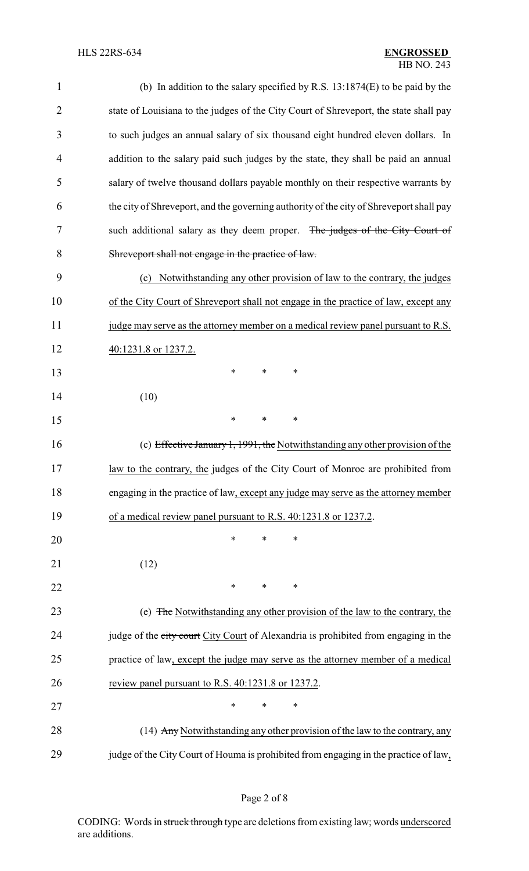| $\mathbf{1}$   | (b) In addition to the salary specified by R.S. $13:1874(E)$ to be paid by the          |  |  |  |
|----------------|-----------------------------------------------------------------------------------------|--|--|--|
| $\overline{2}$ | state of Louisiana to the judges of the City Court of Shreveport, the state shall pay   |  |  |  |
| 3              | to such judges an annual salary of six thousand eight hundred eleven dollars. In        |  |  |  |
| 4              | addition to the salary paid such judges by the state, they shall be paid an annual      |  |  |  |
| 5              | salary of twelve thousand dollars payable monthly on their respective warrants by       |  |  |  |
| 6              | the city of Shreveport, and the governing authority of the city of Shreveport shall pay |  |  |  |
| 7              | such additional salary as they deem proper. The judges of the City Court of             |  |  |  |
| 8              | Shreveport shall not engage in the practice of law.                                     |  |  |  |
| 9              | Notwithstanding any other provision of law to the contrary, the judges<br>(c)           |  |  |  |
| 10             | of the City Court of Shreveport shall not engage in the practice of law, except any     |  |  |  |
| 11             | judge may serve as the attorney member on a medical review panel pursuant to R.S.       |  |  |  |
| 12             | 40:1231.8 or 1237.2.                                                                    |  |  |  |
| 13             | ∗<br>*<br>∗                                                                             |  |  |  |
| 14             | (10)                                                                                    |  |  |  |
| 15             | *<br>$\ast$<br>*                                                                        |  |  |  |
| 16             | (c) Effective January 1, 1991, the Notwithstanding any other provision of the           |  |  |  |
| 17             | law to the contrary, the judges of the City Court of Monroe are prohibited from         |  |  |  |
| 18             | engaging in the practice of law, except any judge may serve as the attorney member      |  |  |  |
| 19             | of a medical review panel pursuant to R.S. 40:1231.8 or 1237.2.                         |  |  |  |
| 20             | $\ast$<br>*<br>$\ast$                                                                   |  |  |  |
| 21             | (12)                                                                                    |  |  |  |
| 22             | $\ast$<br>*<br>*                                                                        |  |  |  |
| 23             | (e) The Notwithstanding any other provision of the law to the contrary, the             |  |  |  |
| 24             | judge of the city court City Court of Alexandria is prohibited from engaging in the     |  |  |  |
| 25             | practice of law, except the judge may serve as the attorney member of a medical         |  |  |  |
| 26             | review panel pursuant to R.S. 40:1231.8 or 1237.2.                                      |  |  |  |
| 27             | *<br>$\ast$<br>*                                                                        |  |  |  |
| 28             | (14) Any Notwithstanding any other provision of the law to the contrary, any            |  |  |  |
| 29             | judge of the City Court of Houma is prohibited from engaging in the practice of law,    |  |  |  |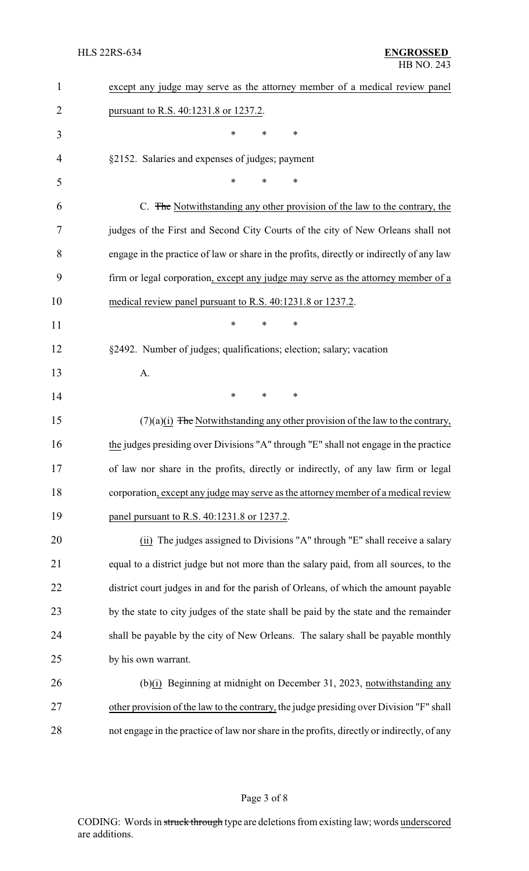| 1              | except any judge may serve as the attorney member of a medical review panel                |
|----------------|--------------------------------------------------------------------------------------------|
| $\overline{2}$ | pursuant to R.S. 40:1231.8 or 1237.2.                                                      |
| 3              | *<br>∗<br>*                                                                                |
| 4              | §2152. Salaries and expenses of judges; payment                                            |
| 5              | $\ast$<br>*<br>*                                                                           |
| 6              | C. The Notwithstanding any other provision of the law to the contrary, the                 |
| 7              | judges of the First and Second City Courts of the city of New Orleans shall not            |
| 8              | engage in the practice of law or share in the profits, directly or indirectly of any law   |
| 9              | firm or legal corporation, except any judge may serve as the attorney member of a          |
| 10             | medical review panel pursuant to R.S. 40:1231.8 or 1237.2.                                 |
| 11             | $\ast$<br>*<br>$\ast$                                                                      |
| 12             | §2492. Number of judges; qualifications; election; salary; vacation                        |
| 13             | A.                                                                                         |
| 14             | $\ast$<br>*<br>*                                                                           |
| 15             | $(7)(a)(i)$ The Notwithstanding any other provision of the law to the contrary,            |
| 16             | the judges presiding over Divisions "A" through "E" shall not engage in the practice       |
| 17             | of law nor share in the profits, directly or indirectly, of any law firm or legal          |
| 18             | corporation, except any judge may serve as the attorney member of a medical review         |
| 19             | panel pursuant to R.S. 40:1231.8 or 1237.2.                                                |
| 20             | (ii) The judges assigned to Divisions "A" through "E" shall receive a salary               |
| 21             | equal to a district judge but not more than the salary paid, from all sources, to the      |
| 22             | district court judges in and for the parish of Orleans, of which the amount payable        |
| 23             | by the state to city judges of the state shall be paid by the state and the remainder      |
| 24             | shall be payable by the city of New Orleans. The salary shall be payable monthly           |
| 25             | by his own warrant.                                                                        |
| 26             | (b)(i) Beginning at midnight on December 31, 2023, notwithstanding any                     |
| 27             | other provision of the law to the contrary, the judge presiding over Division "F" shall    |
| 28             | not engage in the practice of law nor share in the profits, directly or indirectly, of any |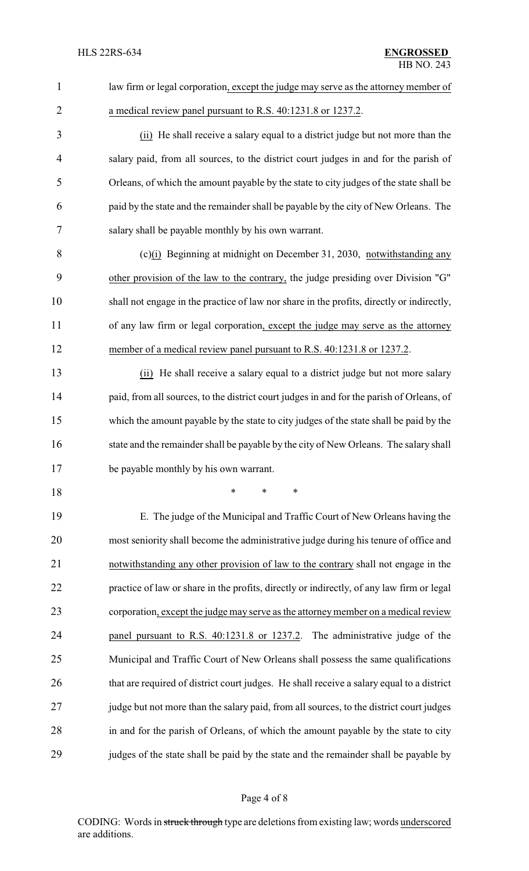| $\mathbf{1}$   | law firm or legal corporation, except the judge may serve as the attorney member of       |
|----------------|-------------------------------------------------------------------------------------------|
| $\overline{2}$ | a medical review panel pursuant to R.S. 40:1231.8 or 1237.2.                              |
| 3              | (ii) He shall receive a salary equal to a district judge but not more than the            |
| 4              | salary paid, from all sources, to the district court judges in and for the parish of      |
| 5              | Orleans, of which the amount payable by the state to city judges of the state shall be    |
| 6              | paid by the state and the remainder shall be payable by the city of New Orleans. The      |
| 7              | salary shall be payable monthly by his own warrant.                                       |
| 8              | $(c)(i)$ Beginning at midnight on December 31, 2030, notwithstanding any                  |
| 9              | other provision of the law to the contrary, the judge presiding over Division "G"         |
| 10             | shall not engage in the practice of law nor share in the profits, directly or indirectly, |
| 11             | of any law firm or legal corporation, except the judge may serve as the attorney          |
| 12             | member of a medical review panel pursuant to R.S. 40:1231.8 or 1237.2.                    |
| 13             | (ii) He shall receive a salary equal to a district judge but not more salary              |
| 14             | paid, from all sources, to the district court judges in and for the parish of Orleans, of |
| 15             | which the amount payable by the state to city judges of the state shall be paid by the    |
| 16             | state and the remainder shall be payable by the city of New Orleans. The salary shall     |
| 17             | be payable monthly by his own warrant.                                                    |
| 18             | $\ast$<br>$\ast$<br>∗                                                                     |
| 19             | E. The judge of the Municipal and Traffic Court of New Orleans having the                 |
| 20             | most seniority shall become the administrative judge during his tenure of office and      |
| 21             | notwithstanding any other provision of law to the contrary shall not engage in the        |
| 22             | practice of law or share in the profits, directly or indirectly, of any law firm or legal |
| 23             | corporation, except the judge may serve as the attorney member on a medical review        |
| 24             | panel pursuant to R.S. 40:1231.8 or 1237.2. The administrative judge of the               |
| 25             | Municipal and Traffic Court of New Orleans shall possess the same qualifications          |
| 26             | that are required of district court judges. He shall receive a salary equal to a district |
| 27             | judge but not more than the salary paid, from all sources, to the district court judges   |
| 28             | in and for the parish of Orleans, of which the amount payable by the state to city        |
| 29             | judges of the state shall be paid by the state and the remainder shall be payable by      |

# Page 4 of 8

CODING: Words in struck through type are deletions from existing law; words underscored are additions.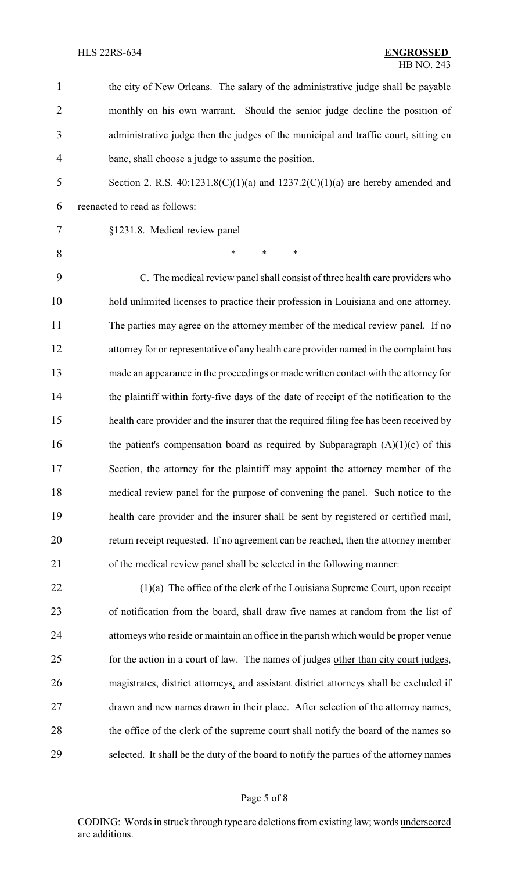| 1              | the city of New Orleans. The salary of the administrative judge shall be payable        |
|----------------|-----------------------------------------------------------------------------------------|
| $\overline{2}$ | monthly on his own warrant. Should the senior judge decline the position of             |
| 3              | administrative judge then the judges of the municipal and traffic court, sitting en     |
| $\overline{4}$ | banc, shall choose a judge to assume the position.                                      |
| 5              | Section 2. R.S. $40:1231.8(C)(1)(a)$ and $1237.2(C)(1)(a)$ are hereby amended and       |
| 6              | reenacted to read as follows:                                                           |
| 7              | §1231.8. Medical review panel                                                           |
| 8              | *<br>$\ast$<br>$\ast$                                                                   |
| 9              | C. The medical review panel shall consist of three health care providers who            |
| 10             | hold unlimited licenses to practice their profession in Louisiana and one attorney.     |
| 11             | The parties may agree on the attorney member of the medical review panel. If no         |
| 12             | attorney for or representative of any health care provider named in the complaint has   |
| 13             | made an appearance in the proceedings or made written contact with the attorney for     |
| 14             | the plaintiff within forty-five days of the date of receipt of the notification to the  |
| 15             | health care provider and the insurer that the required filing fee has been received by  |
| 16             | the patient's compensation board as required by Subparagraph $(A)(1)(c)$ of this        |
| 17             | Section, the attorney for the plaintiff may appoint the attorney member of the          |
| 18             | medical review panel for the purpose of convening the panel. Such notice to the         |
| 19             | health care provider and the insurer shall be sent by registered or certified mail,     |
| 20             | return receipt requested. If no agreement can be reached, then the attorney member      |
| 21             | of the medical review panel shall be selected in the following manner:                  |
| 22             | $(1)(a)$ The office of the clerk of the Louisiana Supreme Court, upon receipt           |
| 23             | of notification from the board, shall draw five names at random from the list of        |
| 24             | attorneys who reside or maintain an office in the parish which would be proper venue    |
| 25             | for the action in a court of law. The names of judges other than city court judges,     |
| 26             | magistrates, district attorneys, and assistant district attorneys shall be excluded if  |
| 27             | drawn and new names drawn in their place. After selection of the attorney names,        |
| 28             | the office of the clerk of the supreme court shall notify the board of the names so     |
| 29             | selected. It shall be the duty of the board to notify the parties of the attorney names |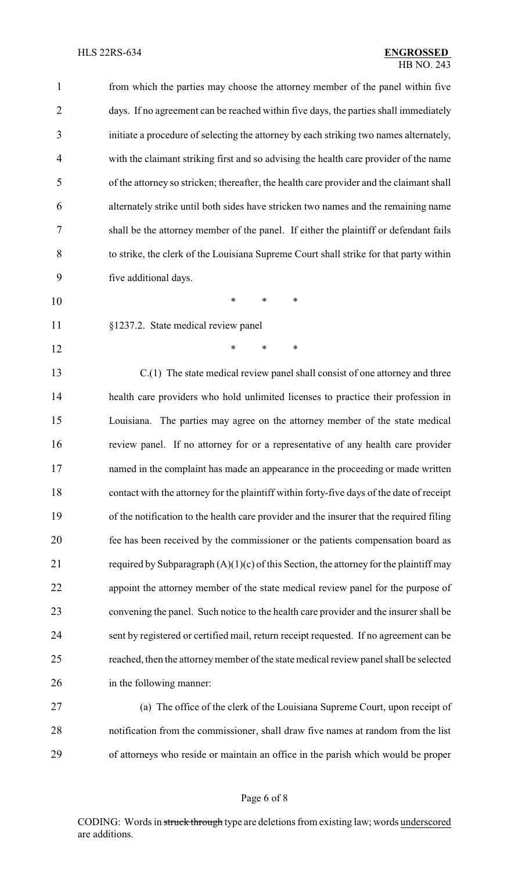| $\mathbf{1}$ | from which the parties may choose the attorney member of the panel within five            |
|--------------|-------------------------------------------------------------------------------------------|
| 2            | days. If no agreement can be reached within five days, the parties shall immediately      |
| 3            | initiate a procedure of selecting the attorney by each striking two names alternately,    |
| 4            | with the claimant striking first and so advising the health care provider of the name     |
| 5            | of the attorney so stricken; thereafter, the health care provider and the claimant shall  |
| 6            | alternately strike until both sides have stricken two names and the remaining name        |
| 7            | shall be the attorney member of the panel. If either the plaintiff or defendant fails     |
| 8            | to strike, the clerk of the Louisiana Supreme Court shall strike for that party within    |
| 9            | five additional days.                                                                     |
| 10           | $\ast$<br>∗<br>*                                                                          |
| 11           | §1237.2. State medical review panel                                                       |
| 12           | $\ast$<br>$\ast$<br>∗                                                                     |
| 13           | C.(1) The state medical review panel shall consist of one attorney and three              |
| 14           | health care providers who hold unlimited licenses to practice their profession in         |
| 15           | Louisiana. The parties may agree on the attorney member of the state medical              |
| 16           | review panel. If no attorney for or a representative of any health care provider          |
| 17           | named in the complaint has made an appearance in the proceeding or made written           |
| 18           | contact with the attorney for the plaintiff within forty-five days of the date of receipt |
| 19           | of the notification to the health care provider and the insurer that the required filing  |
| 20           | fee has been received by the commissioner or the patients compensation board as           |
| 21           | required by Subparagraph $(A)(1)(c)$ of this Section, the attorney for the plaintiff may  |
| 22           | appoint the attorney member of the state medical review panel for the purpose of          |
| 23           | convening the panel. Such notice to the health care provider and the insurer shall be     |
| 24           | sent by registered or certified mail, return receipt requested. If no agreement can be    |
| 25           | reached, then the attorney member of the state medical review panel shall be selected     |
| 26           | in the following manner:                                                                  |
| 27           | (a) The office of the clerk of the Louisiana Supreme Court, upon receipt of               |
|              |                                                                                           |

 notification from the commissioner, shall draw five names at random from the list of attorneys who reside or maintain an office in the parish which would be proper

## Page 6 of 8

CODING: Words in struck through type are deletions from existing law; words underscored are additions.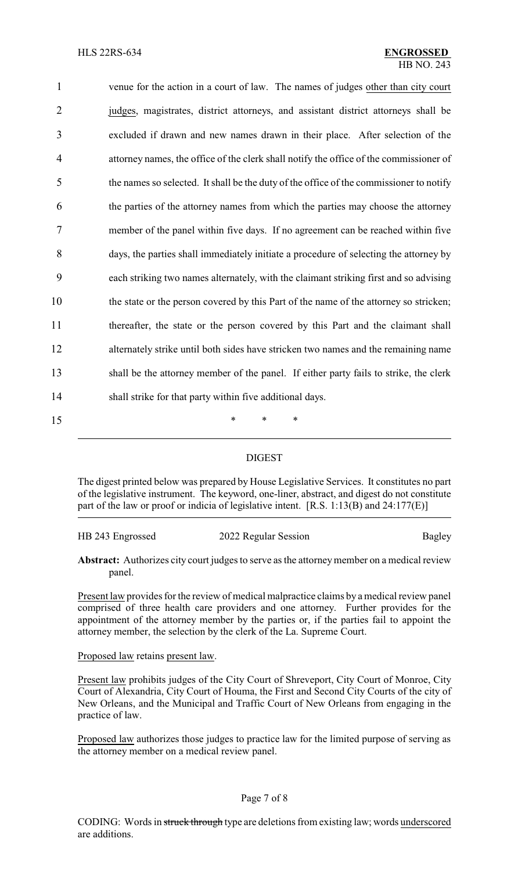| $\mathbf{1}$   | venue for the action in a court of law. The names of judges other than city court       |
|----------------|-----------------------------------------------------------------------------------------|
| $\overline{2}$ | judges, magistrates, district attorneys, and assistant district attorneys shall be      |
| 3              | excluded if drawn and new names drawn in their place. After selection of the            |
| 4              | attorney names, the office of the clerk shall notify the office of the commissioner of  |
| 5              | the names so selected. It shall be the duty of the office of the commissioner to notify |
| 6              | the parties of the attorney names from which the parties may choose the attorney        |
| 7              | member of the panel within five days. If no agreement can be reached within five        |
| 8              | days, the parties shall immediately initiate a procedure of selecting the attorney by   |
| 9              | each striking two names alternately, with the claimant striking first and so advising   |
| 10             | the state or the person covered by this Part of the name of the attorney so stricken;   |
| 11             | thereafter, the state or the person covered by this Part and the claimant shall         |
| 12             | alternately strike until both sides have stricken two names and the remaining name      |
| 13             | shall be the attorney member of the panel. If either party fails to strike, the clerk   |
| 14             | shall strike for that party within five additional days.                                |
| 15             | *<br>*<br>∗                                                                             |

### DIGEST

The digest printed below was prepared by House Legislative Services. It constitutes no part of the legislative instrument. The keyword, one-liner, abstract, and digest do not constitute part of the law or proof or indicia of legislative intent. [R.S. 1:13(B) and 24:177(E)]

| HB 243 Engrossed | 2022 Regular Session |        |
|------------------|----------------------|--------|
|                  |                      | Bagley |

Abstract: Authorizes city court judges to serve as the attorney member on a medical review panel.

Present law provides for the review of medical malpractice claims by a medical review panel comprised of three health care providers and one attorney. Further provides for the appointment of the attorney member by the parties or, if the parties fail to appoint the attorney member, the selection by the clerk of the La. Supreme Court.

Proposed law retains present law.

Present law prohibits judges of the City Court of Shreveport, City Court of Monroe, City Court of Alexandria, City Court of Houma, the First and Second City Courts of the city of New Orleans, and the Municipal and Traffic Court of New Orleans from engaging in the practice of law.

Proposed law authorizes those judges to practice law for the limited purpose of serving as the attorney member on a medical review panel.